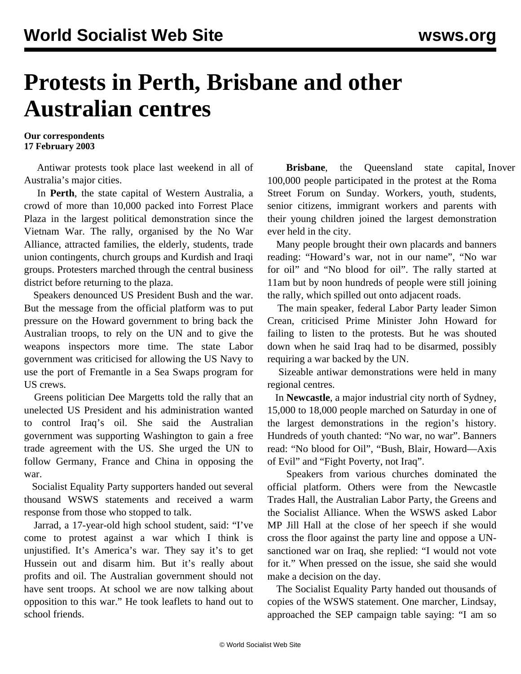## **Protests in Perth, Brisbane and other Australian centres**

**Our correspondents 17 February 2003**

 Antiwar protests took place last weekend in all of Australia's major cities.

 In **Perth**, the state capital of Western Australia, a crowd of more than 10,000 packed into Forrest Place Plaza in the largest political demonstration since the Vietnam War. The rally, organised by the No War Alliance, attracted families, the elderly, students, trade union contingents, church groups and Kurdish and Iraqi groups. Protesters marched through the central business district before returning to the plaza.

 Speakers denounced US President Bush and the war. But the message from the official platform was to put pressure on the Howard government to bring back the Australian troops, to rely on the UN and to give the weapons inspectors more time. The state Labor government was criticised for allowing the US Navy to use the port of Fremantle in a Sea Swaps program for US crews.

 Greens politician Dee Margetts told the rally that an unelected US President and his administration wanted to control Iraq's oil. She said the Australian government was supporting Washington to gain a free trade agreement with the US. She urged the UN to follow Germany, France and China in opposing the war.

 Socialist Equality Party supporters handed out several thousand WSWS statements and received a warm response from those who stopped to talk.

 Jarrad, a 17-year-old high school student, said: "I've come to protest against a war which I think is unjustified. It's America's war. They say it's to get Hussein out and disarm him. But it's really about profits and oil. The Australian government should not have sent troops. At school we are now talking about opposition to this war." He took leaflets to hand out to school friends.

**Brisbane**, the Queensland state capital, Inover 100,000 people participated in the protest at the Roma Street Forum on Sunday. Workers, youth, students, senior citizens, immigrant workers and parents with their young children joined the largest demonstration ever held in the city.

 Many people brought their own placards and banners reading: "Howard's war, not in our name", "No war for oil" and "No blood for oil". The rally started at 11am but by noon hundreds of people were still joining the rally, which spilled out onto adjacent roads.

 The main speaker, federal Labor Party leader Simon Crean, criticised Prime Minister John Howard for failing to listen to the protests. But he was shouted down when he said Iraq had to be disarmed, possibly requiring a war backed by the UN.

 Sizeable antiwar demonstrations were held in many regional centres.

 In **Newcastle**, a major industrial city north of Sydney, 15,000 to 18,000 people marched on Saturday in one of the largest demonstrations in the region's history. Hundreds of youth chanted: "No war, no war". Banners read: "No blood for Oil", "Bush, Blair, Howard—Axis of Evil" and "Fight Poverty, not Iraq".

 Speakers from various churches dominated the official platform. Others were from the Newcastle Trades Hall, the Australian Labor Party, the Greens and the Socialist Alliance. When the WSWS asked Labor MP Jill Hall at the close of her speech if she would cross the floor against the party line and oppose a UNsanctioned war on Iraq, she replied: "I would not vote for it." When pressed on the issue, she said she would make a decision on the day.

 The Socialist Equality Party handed out thousands of copies of the WSWS statement. One marcher, Lindsay, approached the SEP campaign table saying: "I am so